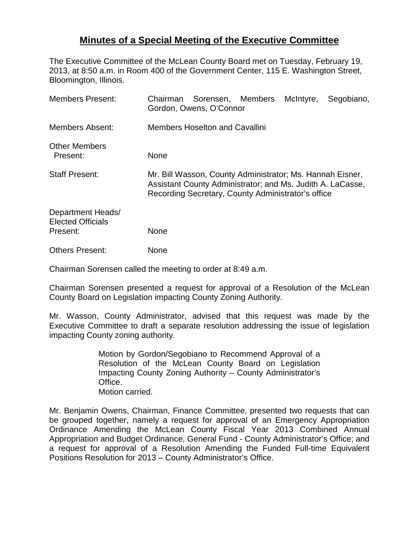## **Minutes of a Special Meeting of the Executive Committee**

The Executive Committee of the McLean County Board met on Tuesday, February 19, 2013, at 8:50 a.m. in Room 400 of the Government Center, 115 E. Washington Street, Bloomington, Illinois.

| <b>Members Present:</b>                                   | Chairman Sorensen, Members<br>Gordon, Owens, O'Connor                                                                                                                         |  |  | McIntyre, | Segobiano, |
|-----------------------------------------------------------|-------------------------------------------------------------------------------------------------------------------------------------------------------------------------------|--|--|-----------|------------|
| <b>Members Absent:</b>                                    | <b>Members Hoselton and Cavallini</b>                                                                                                                                         |  |  |           |            |
| <b>Other Members</b><br>Present:                          | None                                                                                                                                                                          |  |  |           |            |
| <b>Staff Present:</b>                                     | Mr. Bill Wasson, County Administrator; Ms. Hannah Eisner,<br>Assistant County Administrator; and Ms. Judith A. LaCasse,<br>Recording Secretary, County Administrator's office |  |  |           |            |
| Department Heads/<br><b>Elected Officials</b><br>Present: | None                                                                                                                                                                          |  |  |           |            |
| <b>Others Present:</b>                                    | None                                                                                                                                                                          |  |  |           |            |

Chairman Sorensen called the meeting to order at 8:49 a.m.

Chairman Sorensen presented a request for approval of a Resolution of the McLean County Board on Legislation impacting County Zoning Authority.

Mr. Wasson, County Administrator, advised that this request was made by the Executive Committee to draft a separate resolution addressing the issue of legislation impacting County zoning authority.

> Motion by Gordon/Segobiano to Recommend Approval of a Resolution of the McLean County Board on Legislation Impacting County Zoning Authority – County Administrator's Office. Motion carried.

Mr. Benjamin Owens, Chairman, Finance Committee, presented two requests that can be grouped together, namely a request for approval of an Emergency Appropriation Ordinance Amending the McLean County Fiscal Year 2013 Combined Annual Appropriation and Budget Ordinance, General Fund - County Administrator's Office; and a request for approval of a Resolution Amending the Funded Full-time Equivalent Positions Resolution for 2013 – County Administrator's Office.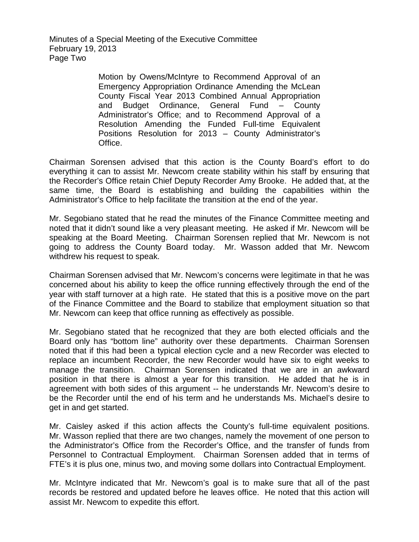Minutes of a Special Meeting of the Executive Committee February 19, 2013 Page Two

> Motion by Owens/McIntyre to Recommend Approval of an Emergency Appropriation Ordinance Amending the McLean County Fiscal Year 2013 Combined Annual Appropriation and Budget Ordinance, General Fund – County Administrator's Office; and to Recommend Approval of a Resolution Amending the Funded Full-time Equivalent Positions Resolution for 2013 – County Administrator's Office.

Chairman Sorensen advised that this action is the County Board's effort to do everything it can to assist Mr. Newcom create stability within his staff by ensuring that the Recorder's Office retain Chief Deputy Recorder Amy Brooke. He added that, at the same time, the Board is establishing and building the capabilities within the Administrator's Office to help facilitate the transition at the end of the year.

Mr. Segobiano stated that he read the minutes of the Finance Committee meeting and noted that it didn't sound like a very pleasant meeting. He asked if Mr. Newcom will be speaking at the Board Meeting. Chairman Sorensen replied that Mr. Newcom is not going to address the County Board today. Mr. Wasson added that Mr. Newcom withdrew his request to speak.

Chairman Sorensen advised that Mr. Newcom's concerns were legitimate in that he was concerned about his ability to keep the office running effectively through the end of the year with staff turnover at a high rate. He stated that this is a positive move on the part of the Finance Committee and the Board to stabilize that employment situation so that Mr. Newcom can keep that office running as effectively as possible.

Mr. Segobiano stated that he recognized that they are both elected officials and the Board only has "bottom line" authority over these departments. Chairman Sorensen noted that if this had been a typical election cycle and a new Recorder was elected to replace an incumbent Recorder, the new Recorder would have six to eight weeks to manage the transition. Chairman Sorensen indicated that we are in an awkward position in that there is almost a year for this transition. He added that he is in agreement with both sides of this argument -- he understands Mr. Newcom's desire to be the Recorder until the end of his term and he understands Ms. Michael's desire to get in and get started.

Mr. Caisley asked if this action affects the County's full-time equivalent positions. Mr. Wasson replied that there are two changes, namely the movement of one person to the Administrator's Office from the Recorder's Office, and the transfer of funds from Personnel to Contractual Employment. Chairman Sorensen added that in terms of FTE's it is plus one, minus two, and moving some dollars into Contractual Employment.

Mr. McIntyre indicated that Mr. Newcom's goal is to make sure that all of the past records be restored and updated before he leaves office. He noted that this action will assist Mr. Newcom to expedite this effort.